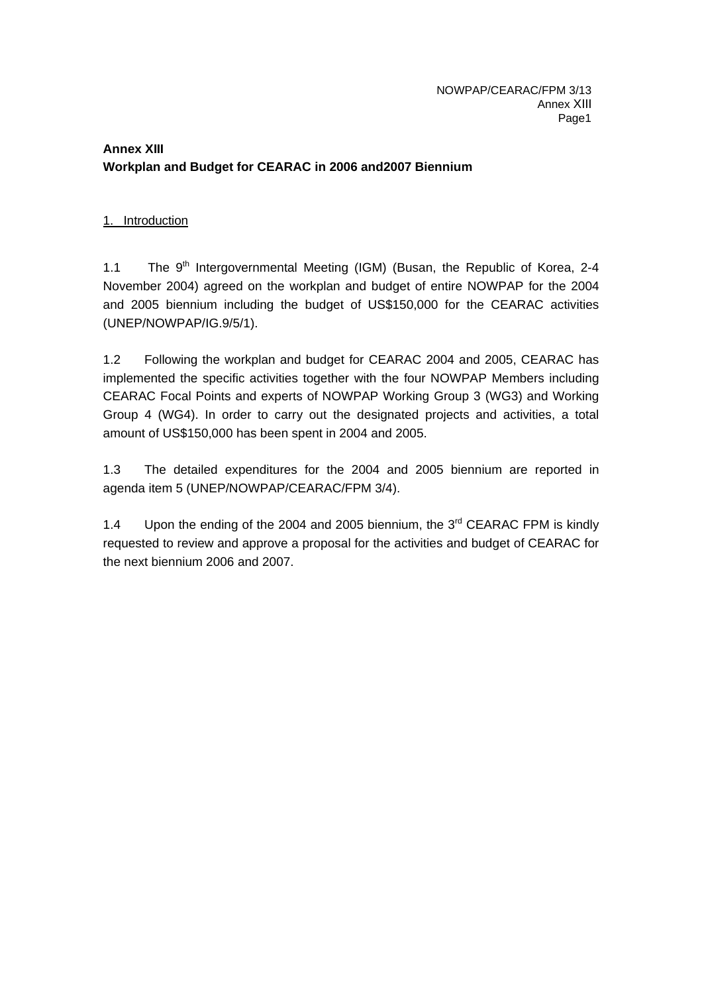# **Annex XIII Workplan and Budget for CEARAC in 2006 and2007 Biennium**

# 1. Introduction

1.1 The  $9<sup>th</sup>$  Intergovernmental Meeting (IGM) (Busan, the Republic of Korea, 2-4 November 2004) agreed on the workplan and budget of entire NOWPAP for the 2004 and 2005 biennium including the budget of US\$150,000 for the CEARAC activities (UNEP/NOWPAP/IG.9/5/1).

1.2 Following the workplan and budget for CEARAC 2004 and 2005, CEARAC has implemented the specific activities together with the four NOWPAP Members including CEARAC Focal Points and experts of NOWPAP Working Group 3 (WG3) and Working Group 4 (WG4). In order to carry out the designated projects and activities, a total amount of US\$150,000 has been spent in 2004 and 2005.

1.3 The detailed expenditures for the 2004 and 2005 biennium are reported in agenda item 5 (UNEP/NOWPAP/CEARAC/FPM 3/4).

1.4 Upon the ending of the 2004 and 2005 biennium, the 3<sup>rd</sup> CEARAC FPM is kindly requested to review and approve a proposal for the activities and budget of CEARAC for the next biennium 2006 and 2007.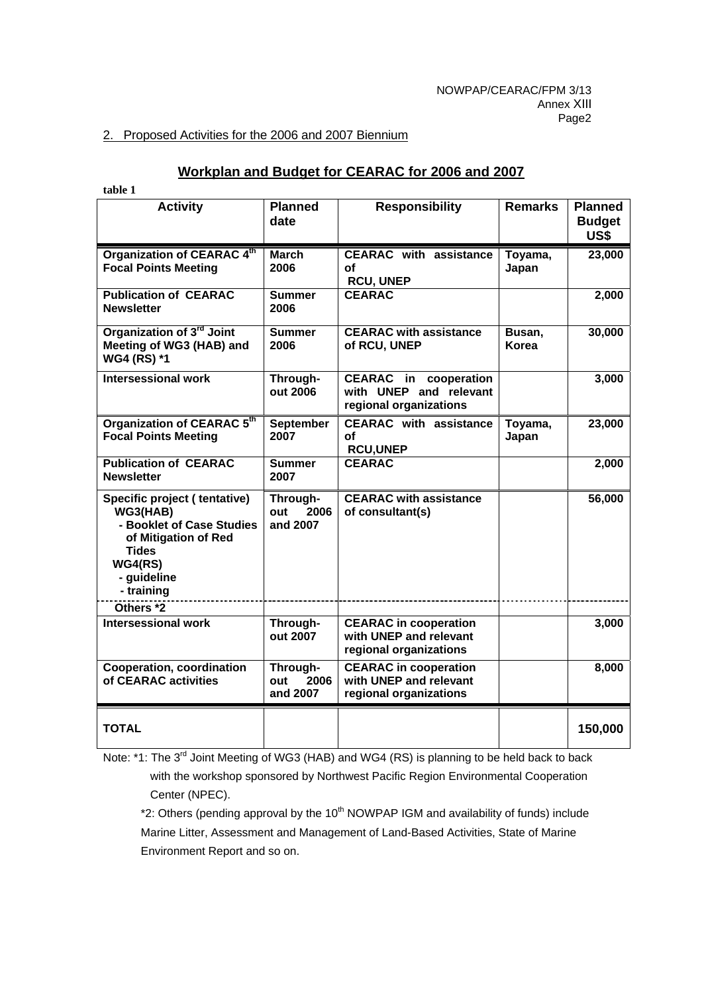#### 2. Proposed Activities for the 2006 and 2007 Biennium

# **Workplan and Budget for CEARAC for 2006 and 2007**

| table 1                                                                                                                                               |                                     |                                                                                  |                  |                                         |
|-------------------------------------------------------------------------------------------------------------------------------------------------------|-------------------------------------|----------------------------------------------------------------------------------|------------------|-----------------------------------------|
| <b>Activity</b>                                                                                                                                       | <b>Planned</b><br>date              | <b>Responsibility</b>                                                            | <b>Remarks</b>   | <b>Planned</b><br><b>Budget</b><br>US\$ |
| Organization of CEARAC 4th<br><b>Focal Points Meeting</b>                                                                                             | <b>March</b><br>2006                | <b>CEARAC</b> with assistance<br>Οf<br><b>RCU, UNEP</b>                          | Toyama,<br>Japan | 23,000                                  |
| <b>Publication of CEARAC</b><br><b>Newsletter</b>                                                                                                     | <b>Summer</b><br>2006               | <b>CEARAC</b>                                                                    |                  | 2,000                                   |
| Organization of 3 <sup>rd</sup> Joint<br>Meeting of WG3 (HAB) and<br>WG4 (RS) *1                                                                      | <b>Summer</b><br>2006               | <b>CEARAC with assistance</b><br>of RCU, UNEP                                    | Busan,<br>Korea  | 30,000                                  |
| <b>Intersessional work</b>                                                                                                                            | Through-<br>out 2006                | CEARAC in<br>cooperation<br>with UNEP and relevant<br>regional organizations     |                  | 3,000                                   |
| Organization of CEARAC 5th<br><b>Focal Points Meeting</b>                                                                                             | September<br>2007                   | <b>CEARAC</b> with assistance<br>οf<br><b>RCU,UNEP</b>                           | Toyama,<br>Japan | 23,000                                  |
| <b>Publication of CEARAC</b><br><b>Newsletter</b>                                                                                                     | <b>Summer</b><br>2007               | <b>CEARAC</b>                                                                    |                  | 2,000                                   |
| Specific project (tentative)<br>WG3(HAB)<br>- Booklet of Case Studies<br>of Mitigation of Red<br><b>Tides</b><br>WG4(RS)<br>- guideline<br>- training | Through-<br>out<br>2006<br>and 2007 | <b>CEARAC with assistance</b><br>of consultant(s)                                |                  | 56,000                                  |
| Others <sup>*2</sup>                                                                                                                                  |                                     |                                                                                  |                  |                                         |
| <b>Intersessional work</b>                                                                                                                            | Through-<br>out 2007                | <b>CEARAC</b> in cooperation<br>with UNEP and relevant<br>regional organizations |                  | 3,000                                   |
| <b>Cooperation, coordination</b><br>of CEARAC activities                                                                                              | Through-<br>2006<br>out<br>and 2007 | <b>CEARAC</b> in cooperation<br>with UNEP and relevant<br>regional organizations |                  | 8,000                                   |
| <b>TOTAL</b>                                                                                                                                          |                                     |                                                                                  |                  | 150,000                                 |

Note: \*1: The 3<sup>rd</sup> Joint Meeting of WG3 (HAB) and WG4 (RS) is planning to be held back to back with the workshop sponsored by Northwest Pacific Region Environmental Cooperation Center (NPEC).

 $*2$ : Others (pending approval by the 10<sup>th</sup> NOWPAP IGM and availability of funds) include Marine Litter, Assessment and Management of Land-Based Activities, State of Marine Environment Report and so on.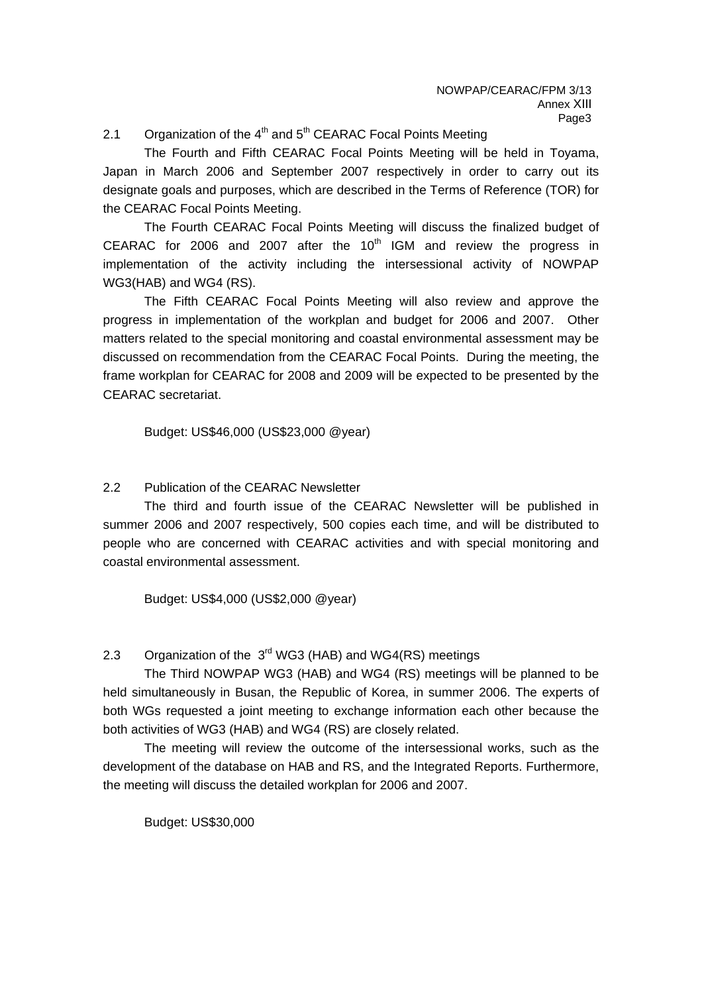#### 2.1 Organization of the  $4<sup>th</sup>$  and  $5<sup>th</sup>$  CEARAC Focal Points Meeting

The Fourth and Fifth CEARAC Focal Points Meeting will be held in Toyama, Japan in March 2006 and September 2007 respectively in order to carry out its designate goals and purposes, which are described in the Terms of Reference (TOR) for the CEARAC Focal Points Meeting.

The Fourth CEARAC Focal Points Meeting will discuss the finalized budget of CEARAC for 2006 and 2007 after the  $10<sup>th</sup>$  IGM and review the progress in implementation of the activity including the intersessional activity of NOWPAP WG3(HAB) and WG4 (RS).

The Fifth CEARAC Focal Points Meeting will also review and approve the progress in implementation of the workplan and budget for 2006 and 2007. Other matters related to the special monitoring and coastal environmental assessment may be discussed on recommendation from the CEARAC Focal Points. During the meeting, the frame workplan for CEARAC for 2008 and 2009 will be expected to be presented by the CEARAC secretariat.

Budget: US\$46,000 (US\$23,000 @year)

# 2.2 Publication of the CEARAC Newsletter

The third and fourth issue of the CEARAC Newsletter will be published in summer 2006 and 2007 respectively, 500 copies each time, and will be distributed to people who are concerned with CEARAC activities and with special monitoring and coastal environmental assessment.

Budget: US\$4,000 (US\$2,000 @year)

2.3 Organization of the 3<sup>rd</sup> WG3 (HAB) and WG4(RS) meetings

The Third NOWPAP WG3 (HAB) and WG4 (RS) meetings will be planned to be held simultaneously in Busan, the Republic of Korea, in summer 2006. The experts of both WGs requested a joint meeting to exchange information each other because the both activities of WG3 (HAB) and WG4 (RS) are closely related.

The meeting will review the outcome of the intersessional works, such as the development of the database on HAB and RS, and the Integrated Reports. Furthermore, the meeting will discuss the detailed workplan for 2006 and 2007.

Budget: US\$30,000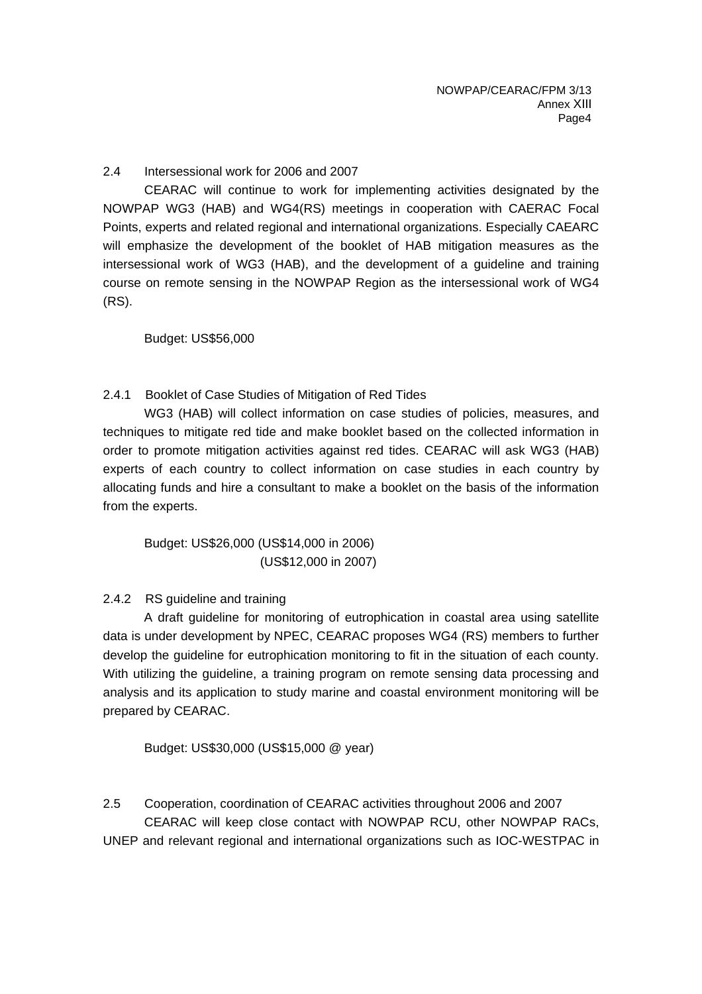2.4 Intersessional work for 2006 and 2007

CEARAC will continue to work for implementing activities designated by the NOWPAP WG3 (HAB) and WG4(RS) meetings in cooperation with CAERAC Focal Points, experts and related regional and international organizations. Especially CAEARC will emphasize the development of the booklet of HAB mitigation measures as the intersessional work of WG3 (HAB), and the development of a guideline and training course on remote sensing in the NOWPAP Region as the intersessional work of WG4 (RS).

Budget: US\$56,000

# 2.4.1 Booklet of Case Studies of Mitigation of Red Tides

WG3 (HAB) will collect information on case studies of policies, measures, and techniques to mitigate red tide and make booklet based on the collected information in order to promote mitigation activities against red tides. CEARAC will ask WG3 (HAB) experts of each country to collect information on case studies in each country by allocating funds and hire a consultant to make a booklet on the basis of the information from the experts.

Budget: US\$26,000 (US\$14,000 in 2006) (US\$12,000 in 2007)

#### 2.4.2 RS guideline and training

A draft guideline for monitoring of eutrophication in coastal area using satellite data is under development by NPEC, CEARAC proposes WG4 (RS) members to further develop the guideline for eutrophication monitoring to fit in the situation of each county. With utilizing the guideline, a training program on remote sensing data processing and analysis and its application to study marine and coastal environment monitoring will be prepared by CEARAC.

Budget: US\$30,000 (US\$15,000 @ year)

2.5 Cooperation, coordination of CEARAC activities throughout 2006 and 2007 CEARAC will keep close contact with NOWPAP RCU, other NOWPAP RACs, UNEP and relevant regional and international organizations such as IOC-WESTPAC in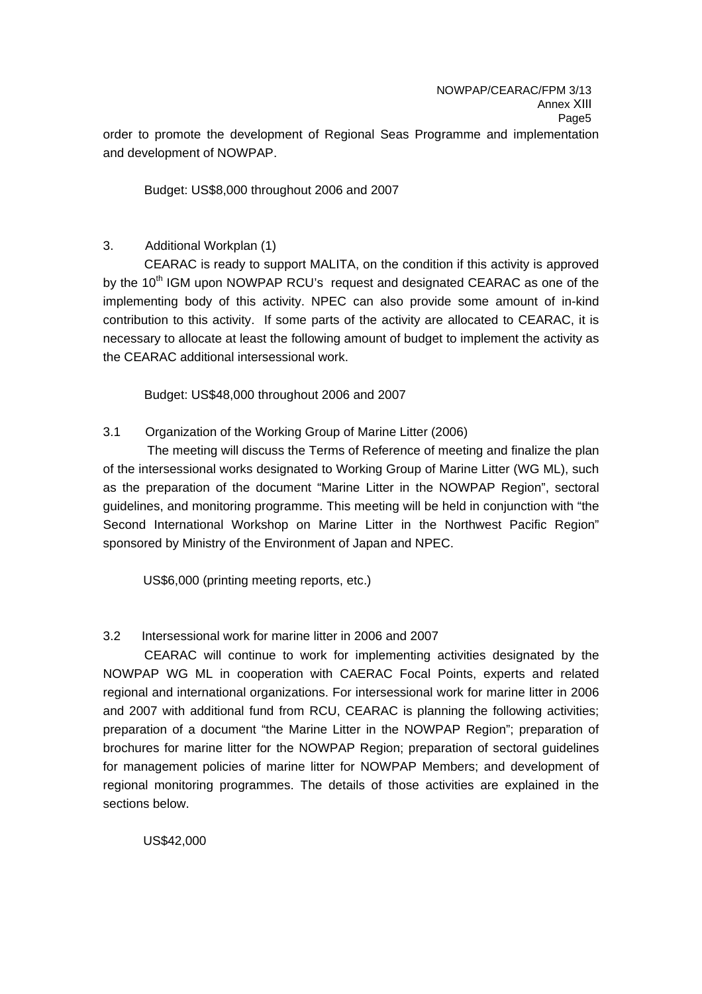order to promote the development of Regional Seas Programme and implementation and development of NOWPAP.

Budget: US\$8,000 throughout 2006 and 2007

# 3. Additional Workplan (1)

CEARAC is ready to support MALITA, on the condition if this activity is approved by the 10<sup>th</sup> IGM upon NOWPAP RCU's request and designated CEARAC as one of the implementing body of this activity. NPEC can also provide some amount of in-kind contribution to this activity. If some parts of the activity are allocated to CEARAC, it is necessary to allocate at least the following amount of budget to implement the activity as the CEARAC additional intersessional work.

Budget: US\$48,000 throughout 2006 and 2007

# 3.1 Organization of the Working Group of Marine Litter (2006)

The meeting will discuss the Terms of Reference of meeting and finalize the plan of the intersessional works designated to Working Group of Marine Litter (WG ML), such as the preparation of the document "Marine Litter in the NOWPAP Region", sectoral guidelines, and monitoring programme. This meeting will be held in conjunction with "the Second International Workshop on Marine Litter in the Northwest Pacific Region" sponsored by Ministry of the Environment of Japan and NPEC.

US\$6,000 (printing meeting reports, etc.)

# 3.2 Intersessional work for marine litter in 2006 and 2007

CEARAC will continue to work for implementing activities designated by the NOWPAP WG ML in cooperation with CAERAC Focal Points, experts and related regional and international organizations. For intersessional work for marine litter in 2006 and 2007 with additional fund from RCU, CEARAC is planning the following activities; preparation of a document "the Marine Litter in the NOWPAP Region"; preparation of brochures for marine litter for the NOWPAP Region; preparation of sectoral guidelines for management policies of marine litter for NOWPAP Members; and development of regional monitoring programmes. The details of those activities are explained in the sections below.

US\$42,000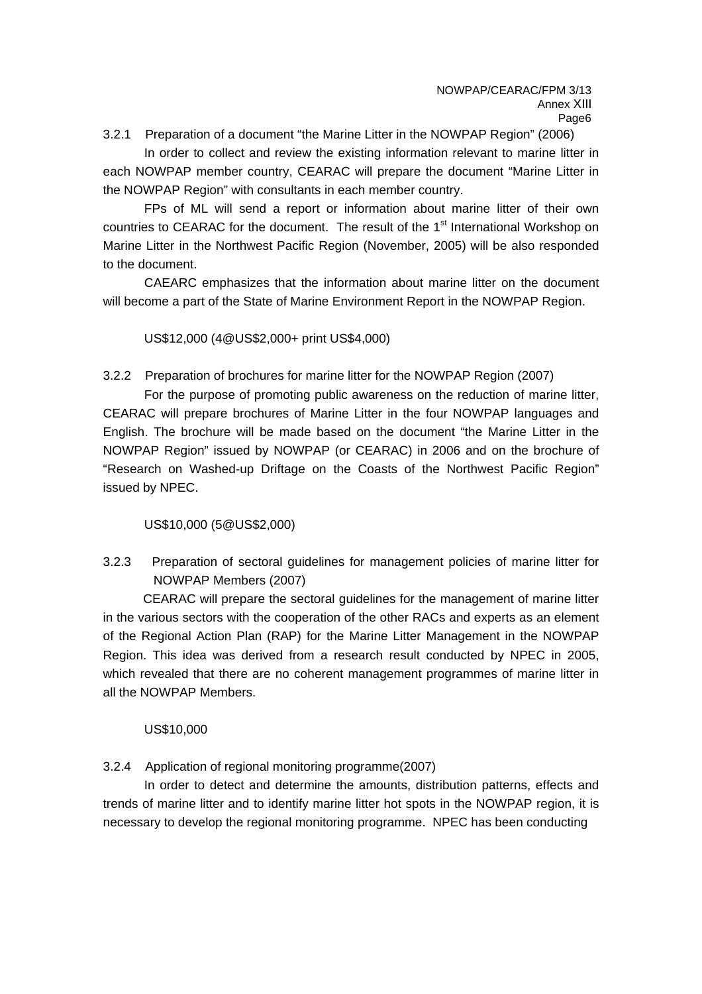3.2.1 Preparation of a document "the Marine Litter in the NOWPAP Region" (2006)

In order to collect and review the existing information relevant to marine litter in each NOWPAP member country, CEARAC will prepare the document "Marine Litter in the NOWPAP Region" with consultants in each member country.

FPs of ML will send a report or information about marine litter of their own countries to CEARAC for the document. The result of the 1<sup>st</sup> International Workshop on Marine Litter in the Northwest Pacific Region (November, 2005) will be also responded to the document.

CAEARC emphasizes that the information about marine litter on the document will become a part of the State of Marine Environment Report in the NOWPAP Region.

US\$12,000 (4@US\$2,000+ print US\$4,000)

3.2.2 Preparation of brochures for marine litter for the NOWPAP Region (2007)

For the purpose of promoting public awareness on the reduction of marine litter, CEARAC will prepare brochures of Marine Litter in the four NOWPAP languages and English. The brochure will be made based on the document "the Marine Litter in the NOWPAP Region" issued by NOWPAP (or CEARAC) in 2006 and on the brochure of "Research on Washed-up Driftage on the Coasts of the Northwest Pacific Region" issued by NPEC.

US\$10,000 (5@US\$2,000)

3.2.3 Preparation of sectoral guidelines for management policies of marine litter for NOWPAP Members (2007)

CEARAC will prepare the sectoral guidelines for the management of marine litter in the various sectors with the cooperation of the other RACs and experts as an element of the Regional Action Plan (RAP) for the Marine Litter Management in the NOWPAP Region. This idea was derived from a research result conducted by NPEC in 2005, which revealed that there are no coherent management programmes of marine litter in all the NOWPAP Members.

#### US\$10,000

3.2.4 Application of regional monitoring programme(2007)

In order to detect and determine the amounts, distribution patterns, effects and trends of marine litter and to identify marine litter hot spots in the NOWPAP region, it is necessary to develop the regional monitoring programme. NPEC has been conducting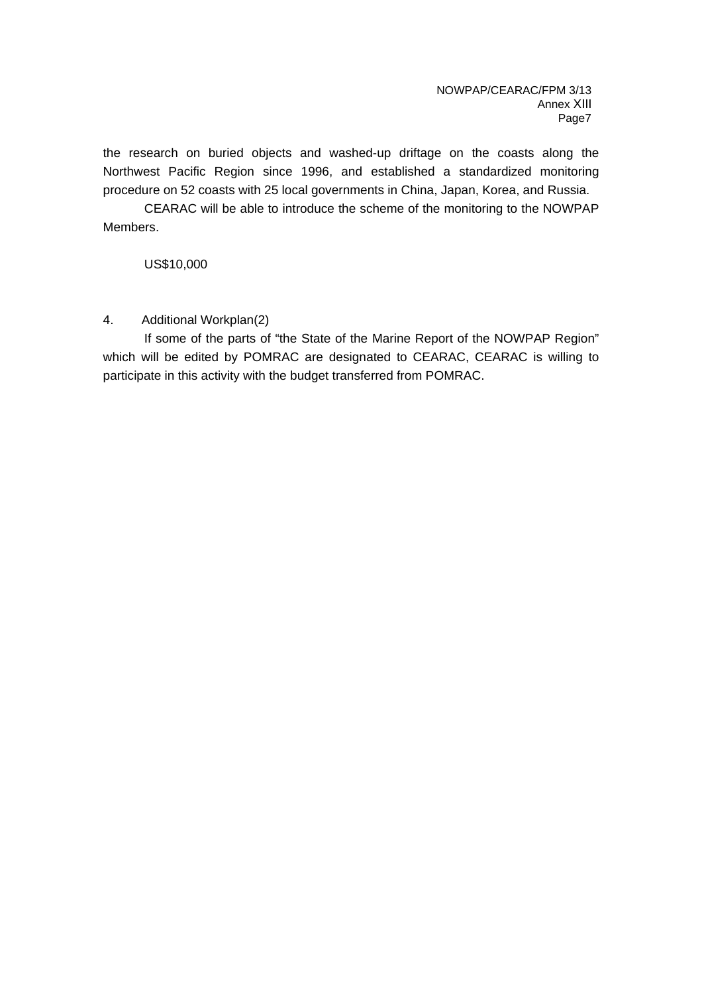the research on buried objects and washed-up driftage on the coasts along the Northwest Pacific Region since 1996, and established a standardized monitoring procedure on 52 coasts with 25 local governments in China, Japan, Korea, and Russia.

CEARAC will be able to introduce the scheme of the monitoring to the NOWPAP Members.

US\$10,000

# 4. Additional Workplan(2)

If some of the parts of "the State of the Marine Report of the NOWPAP Region" which will be edited by POMRAC are designated to CEARAC, CEARAC is willing to participate in this activity with the budget transferred from POMRAC.